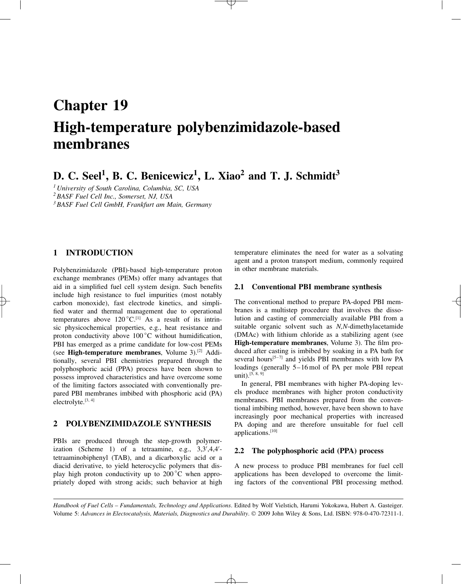# **Chapter 19 High-temperature polybenzimidazole-based membranes**

**D. C. Seel1, B. C. Benicewicz1, L. Xiao2 and T. J. Schmidt3**

*1University of South Carolina, Columbia, SC, USA*

*2BASF Fuel Cell Inc., Somerset, NJ, USA*

*3BASF Fuel Cell GmbH, Frankfurt am Main, Germany*

# **1 INTRODUCTION**

Polybenzimidazole (PBI)-based high-temperature proton exchange membranes (PEMs) offer many advantages that aid in a simplified fuel cell system design. Such benefits include high resistance to fuel impurities (most notably carbon monoxide), fast electrode kinetics, and simplified water and thermal management due to operational temperatures above  $120^{\circ}$ C.<sup>[1]</sup> As a result of its intrinsic physicochemical properties, e.g., heat resistance and proton conductivity above  $100\,^{\circ}\text{C}$  without humidification, PBI has emerged as a prime candidate for low-cost PEMs (see **High-temperature membranes**, Volume 3).[2] Additionally, several PBI chemistries prepared through the polyphosphoric acid (PPA) process have been shown to possess improved characteristics and have overcome some of the limiting factors associated with conventionally prepared PBI membranes imbibed with phosphoric acid (PA) electrolyte.[3, 4]

# **2 POLYBENZIMIDAZOLE SYNTHESIS**

PBIs are produced through the step-growth polymerization (Scheme 1) of a tetraamine, e.g.,  $3,3',4,4'$ tetraaminobiphenyl (TAB), and a dicarboxylic acid or a diacid derivative, to yield heterocyclic polymers that display high proton conductivity up to  $200^{\circ}$ C when appropriately doped with strong acids; such behavior at high temperature eliminates the need for water as a solvating agent and a proton transport medium, commonly required in other membrane materials.

## **2.1 Conventional PBI membrane synthesis**

The conventional method to prepare PA-doped PBI membranes is a multistep procedure that involves the dissolution and casting of commercially available PBI from a suitable organic solvent such as *N,N*-dimethylacetamide (DMAc) with lithium chloride as a stabilizing agent (see **High-temperature membranes**, Volume 3). The film produced after casting is imbibed by soaking in a PA bath for several hours<sup>[5-7]</sup> and yields PBI membranes with low PA loadings (generally 5–16 mol of PA per mole PBI repeat unit).[5, 8, 9]

In general, PBI membranes with higher PA-doping levels produce membranes with higher proton conductivity membranes. PBI membranes prepared from the conventional imbibing method, however, have been shown to have increasingly poor mechanical properties with increased PA doping and are therefore unsuitable for fuel cell applications.<sup>[10]</sup>

#### **2.2 The polyphosphoric acid (PPA) process**

A new process to produce PBI membranes for fuel cell applications has been developed to overcome the limiting factors of the conventional PBI processing method.

*Handbook of Fuel Cells – Fundamentals, Technology and Applications*. Edited by Wolf Vielstich, Harumi Yokokawa, Hubert A. Gasteiger. Volume 5: *Advances in Electocatalysis, Materials, Diagnostics and Durability*. 2009 John Wiley & Sons, Ltd. ISBN: 978-0-470-72311-1.

 $\Delta$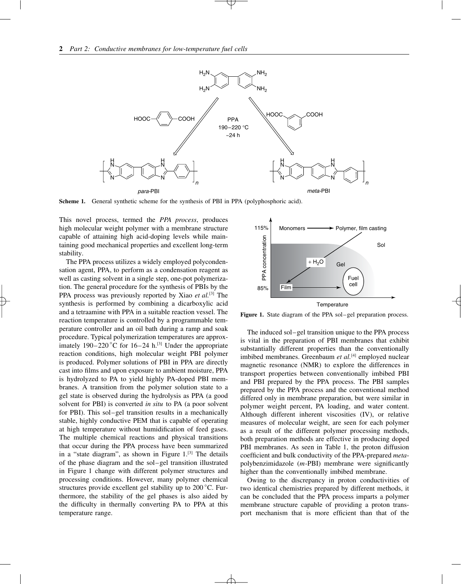

Scheme 1. General synthetic scheme for the synthesis of PBI in PPA (polyphosphoric acid).

This novel process, termed the *PPA process*, produces high molecular weight polymer with a membrane structure capable of attaining high acid-doping levels while maintaining good mechanical properties and excellent long-term stability.

The PPA process utilizes a widely employed polycondensation agent, PPA, to perform as a condensation reagent as well as casting solvent in a single step, one-pot polymerization. The general procedure for the synthesis of PBIs by the PPA process was previously reported by Xiao *et al.*[3] The synthesis is performed by combining a dicarboxylic acid and a tetraamine with PPA in a suitable reaction vessel. The reaction temperature is controlled by a programmable temperature controller and an oil bath during a ramp and soak procedure. Typical polymerization temperatures are approximately  $190-220$  °C for  $16-24$  h.<sup>[3]</sup> Under the appropriate reaction conditions, high molecular weight PBI polymer is produced. Polymer solutions of PBI in PPA are directly cast into films and upon exposure to ambient moisture, PPA is hydrolyzed to PA to yield highly PA-doped PBI membranes. A transition from the polymer solution state to a gel state is observed during the hydrolysis as PPA (a good solvent for PBI) is converted *in situ* to PA (a poor solvent for PBI). This sol–gel transition results in a mechanically stable, highly conductive PEM that is capable of operating at high temperature without humidification of feed gases. The multiple chemical reactions and physical transitions that occur during the PPA process have been summarized in a "state diagram", as shown in Figure  $1.^{[3]}$  The details of the phase diagram and the sol–gel transition illustrated in Figure 1 change with different polymer structures and processing conditions. However, many polymer chemical structures provide excellent gel stability up to 200 °C. Furthermore, the stability of the gel phases is also aided by the difficulty in thermally converting PA to PPA at this temperature range.



**Figure 1.** State diagram of the PPA sol–gel preparation process.

The induced sol–gel transition unique to the PPA process is vital in the preparation of PBI membranes that exhibit substantially different properties than the conventionally imbibed membranes. Greenbaum et al.<sup>[4]</sup> employed nuclear magnetic resonance (NMR) to explore the differences in transport properties between conventionally imbibed PBI and PBI prepared by the PPA process. The PBI samples prepared by the PPA process and the conventional method differed only in membrane preparation, but were similar in polymer weight percent, PA loading, and water content. Although different inherent viscosities (IV), or relative measures of molecular weight, are seen for each polymer as a result of the different polymer processing methods, both preparation methods are effective in producing doped PBI membranes. As seen in Table 1, the proton diffusion coefficient and bulk conductivity of the PPA-prepared *meta*polybenzimidazole (*m*-PBI) membrane were significantly higher than the conventionally imbibed membrane.

Owing to the discrepancy in proton conductivities of two identical chemistries prepared by different methods, it can be concluded that the PPA process imparts a polymer membrane structure capable of providing a proton transport mechanism that is more efficient than that of the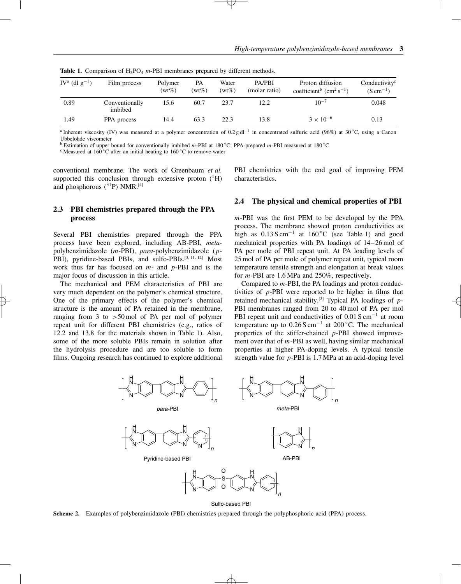| $IV^a$ (dl $g^{-1}$ ) | Film process              | Polymer<br>$(wt\%)$ | PA<br>$(wt\%)$ | Water<br>$(wt\%)$ | PA/PBI<br>(molar ratio) | Proton diffusion<br>coefficient <sup>b</sup> (cm <sup>2</sup> s <sup>-1</sup> ) | Conductivity $c$<br>$(S \, \text{cm}^{-1})$ |
|-----------------------|---------------------------|---------------------|----------------|-------------------|-------------------------|---------------------------------------------------------------------------------|---------------------------------------------|
| 0.89                  | Conventionally<br>imbibed | 15.6                | 60.7           | 23.7              | 12.2                    | $10^{-7}$                                                                       | 0.048                                       |
| 1.49                  | PPA process               | 14.4                | 63.3           | 22.3              | 13.8                    | $3 \times 10^{-6}$                                                              | 0.13                                        |

**Table 1.** Comparison of  $H_3PO_4$  *m*-PBI membranes prepared by different methods.

<sup>a</sup> Inherent viscosity (IV) was measured at a polymer concentration of 0.2 g dl<sup>-1</sup> in concentrated sulfuric acid (96%) at 30 °C, using a Canon Ubbelohde viscometer

<sup>b</sup> Estimation of upper bound for conventionally imbibed *m*-PBI at 180 °C; PPA-prepared *m*-PBI measured at 180 °C

 $\rm c$  Measured at 160 $\rm ^{\circ}C$  after an initial heating to 160 $\rm ^{\circ}C$  to remove water

conventional membrane. The work of Greenbaum *et al.* supported this conclusion through extensive proton  $({}^{1}H)$ and phosphorous  $(^{31}P)$  NMR.<sup>[4]</sup>

**process**

PBI chemistries with the end goal of improving PEM characteristics.

## **2.3 PBI chemistries prepared through the PPA 2.4 The physical and chemical properties of PBI**

Several PBI chemistries prepared through the PPA process have been explored, including AB-PBI, *meta*polybenzimidazole (*m*-PBI), *para*-polybenzimidazole (*p*-PBI), pyridine-based PBIs, and sulfo-PBIs.<sup>[3, 11, 12]</sup> Most work thus far has focused on *m*- and *p*-PBI and is the major focus of discussion in this article.

The mechanical and PEM characteristics of PBI are very much dependent on the polymer's chemical structure. One of the primary effects of the polymer's chemical structure is the amount of PA retained in the membrane, ranging from 3 to *>*50 mol of PA per mol of polymer repeat unit for different PBI chemistries (e.g., ratios of 12.2 and 13.8 for the materials shown in Table 1). Also, some of the more soluble PBIs remain in solution after the hydrolysis procedure and are too soluble to form films. Ongoing research has continued to explore additional *m*-PBI was the first PEM to be developed by the PPA process. The membrane showed proton conductivities as high as  $0.13 \text{ S cm}^{-1}$  at 160 °C (see Table 1) and good mechanical properties with PA loadings of 14–26 mol of PA per mole of PBI repeat unit. At PA loading levels of 25 mol of PA per mole of polymer repeat unit, typical room temperature tensile strength and elongation at break values for *m*-PBI are 1.6 MPa and 250%, respectively.

Compared to *m*-PBI, the PA loadings and proton conductivities of *p*-PBI were reported to be higher in films that retained mechanical stability.[3] Typical PA loadings of *p*-PBI membranes ranged from 20 to 40 mol of PA per mol PBI repeat unit and conductivities of 0.01 S cm−<sup>1</sup> at room temperature up to  $0.26 S \text{ cm}^{-1}$  at 200 °C. The mechanical properties of the stiffer-chained *p*-PBI showed improvement over that of *m*-PBI as well, having similar mechanical properties at higher PA-doping levels. A typical tensile strength value for *p*-PBI is 1.7 MPa at an acid-doping level



Sulfo-based PBI

 $\triangle$ 

**Scheme 2.** Examples of polybenzimidazole (PBI) chemistries prepared through the polyphosphoric acid (PPA) process.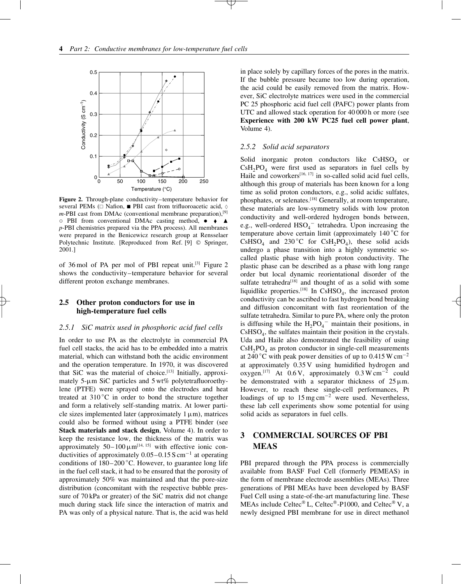

**Figure 2.** Through-plane conductivity–temperature behavior for several PEMs ( $\Box$  Nafion,  $\blacksquare$  PBI cast from trifluoroacetic acid,  $\Diamond$ *m*-PBI cast from DMAc (conventional membrane preparation),<sup>[9]</sup>  $\circ$  PBI from conventional DMAc casting method,  $\bullet \bullet \bullet$ *p*-PBI chemistries prepared via the PPA process). All membranes were prepared in the Benicewicz research group at Rensselaer Polytechnic Institute. [Reproduced from Ref. [9] © Springer, 2001.]

of 36 mol of PA per mol of PBI repeat unit.<sup>[3]</sup> Figure 2 shows the conductivity–temperature behavior for several different proton exchange membranes.

## **2.5 Other proton conductors for use in high-temperature fuel cells**

# *2.5.1 SiC matrix used in phosphoric acid fuel cells*

In order to use PA as the electrolyte in commercial PA fuel cell stacks, the acid has to be embedded into a matrix material, which can withstand both the acidic environment and the operation temperature. In 1970, it was discovered that SiC was the material of choice.<sup>[13]</sup> Initially, approximately 5-µm SiC particles and 5 wt% polytetrafluoroethylene (PTFE) were sprayed onto the electrodes and heat treated at  $310\degree C$  in order to bond the structure together and form a relatively self-standing matrix. At lower particle sizes implemented later (approximately  $1 \mu m$ ), matrices could also be formed without using a PTFE binder (see **Stack materials and stack design**, Volume 4). In order to keep the resistance low, the thickness of the matrix was approximately  $50-100 \mu m^{[14, 15]}$  with effective ionic conductivities of approximately  $0.05-0.15$  S cm<sup>-1</sup> at operating conditions of  $180-200$  °C. However, to guarantee long life in the fuel cell stack, it had to be ensured that the porosity of approximately 50% was maintained and that the pore-size distribution (concomitant with the respective bubble pressure of 70 kPa or greater) of the SiC matrix did not change much during stack life since the interaction of matrix and PA was only of a physical nature. That is, the acid was held

in place solely by capillary forces of the pores in the matrix. If the bubble pressure became too low during operation, the acid could be easily removed from the matrix. However, SiC electrolyte matrices were used in the commercial PC 25 phosphoric acid fuel cell (PAFC) power plants from UTC and allowed stack operation for 40 000 h or more (see **Experience with 200 kW PC25 fuel cell power plant**, Volume 4).

### *2.5.2 Solid acid separators*

Solid inorganic proton conductors like  $CsHSO<sub>4</sub>$  or  $CsH<sub>2</sub>PO<sub>4</sub>$  were first used as separators in fuel cells by Haile and coworkers<sup>[16, 17]</sup> in so-called solid acid fuel cells, although this group of materials has been known for a long time as solid proton conductors, e.g., solid acidic sulfates, phosphates, or selenates.[18] Generally, at room temperature, these materials are low-symmetry solids with low proton conductivity and well-ordered hydrogen bonds between, e.g., well-ordered  $HSO_4^-$  tetrahedra. Upon increasing the temperature above certain limit (approximately 140 ℃ for  $CsHSO<sub>4</sub>$  and 230 °C for  $CsH<sub>2</sub>PO<sub>4</sub>$ ), these solid acids undergo a phase transition into a highly symmetric socalled plastic phase with high proton conductivity. The plastic phase can be described as a phase with long range order but local dynamic reorientational disorder of the sulfate tetrahedra<sup>[18]</sup> and thought of as a solid with some liquidlike properties.<sup>[18]</sup> In CsHSO<sub>4</sub>, the increased proton conductivity can be ascribed to fast hydrogen bond breaking and diffusion concomitant with fast reorientation of the sulfate tetrahedra. Similar to pure PA, where only the proton is diffusing while the  $H_2PO_4^-$  maintain their positions, in  $CsHSO<sub>4</sub>$ , the sulfates maintain their position in the crystals. Uda and Haile also demonstrated the feasibility of using  $CsH<sub>2</sub>PO<sub>4</sub>$  as proton conductor in single-cell measurements at 240 °C with peak power densities of up to 0.415 W cm<sup>-2</sup> at approximately 0.35 V using humidified hydrogen and oxygen.<sup>[17]</sup> At  $0.6 \text{ V}$ , approximately  $0.3 \text{ W cm}^{-2}$  could be demonstrated with a separator thickness of  $25 \mu m$ . However, to reach these single-cell performances, Pt loadings of up to 15 mg cm−<sup>2</sup> were used. Nevertheless, these lab cell experiments show some potential for using solid acids as separators in fuel cells.

# **3 COMMERCIAL SOURCES OF PBI MEAS**

PBI prepared through the PPA process is commercially available from BASF Fuel Cell (formerly PEMEAS) in the form of membrane electrode assemblies (MEAs). Three generations of PBI MEAs have been developed by BASF Fuel Cell using a state-of-the-art manufacturing line. These MEAs include Celtec<sup>®</sup> L, Celtec<sup>®</sup>-P1000, and Celtec<sup>®</sup> V, a newly designed PBI membrane for use in direct methanol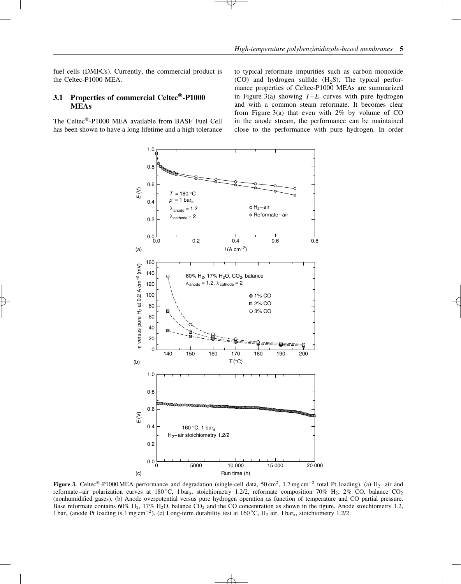fuel cells (DMFCs). Currently, the commercial product is the Celtec-P1000 MEA.

# **3.1 Properties of commercial Celtec<sup>®</sup>-P1000 MEAs**

The Celtec®-P1000 MEA available from BASF Fuel Cell has been shown to have a long lifetime and a high tolerance to typical reformate impurities such as carbon monoxide (CO) and hydrogen sulfide  $(H_2S)$ . The typical performance properties of Celtec-P1000 MEAs are summarized in Figure 3(a) showing *I* –*E* curves with pure hydrogen and with a common steam reformate. It becomes clear from Figure 3(a) that even with  $2\%$  by volume of CO in the anode stream, the performance can be maintained close to the performance with pure hydrogen. In order



**Figure 3.** Celtec®-P1000 MEA performance and degradation (single-cell data, 50 cm<sup>2</sup>, 1.7 mg cm<sup>-2</sup> total Pt loading). (a) H<sub>2</sub>-air and reformate–air polarization curves at 180 °C, 1 bar<sub>a</sub>, stoichiometry 1.2/2, reformate composition 70% H<sub>2</sub>, 2% CO, balance CO<sub>2</sub> (nonhumidified gases). (b) Anode overpotential versus pure hydrogen operation as function of temperature and CO partial pressure. Base reformate contains  $60\%$  H<sub>2</sub>,  $17\%$  H<sub>2</sub>O, balance CO<sub>2</sub> and the CO concentration as shown in the figure. Anode stoichiometry 1.2, 1 bar<sub>a</sub> (anode Pt loading is 1 mg cm<sup>-2</sup>). (c) Long-term durability test at 160 °C, H<sub>2</sub> air, 1 bar<sub>a</sub>, stoichiometry 1.2/2.

△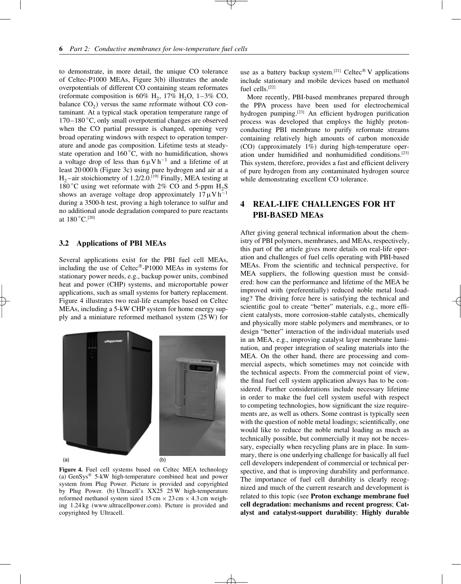to demonstrate, in more detail, the unique CO tolerance of Celtec-P1000 MEAs, Figure 3(b) illustrates the anode overpotentials of different CO containing steam reformates (reformate composition is  $60\%$  H<sub>2</sub>,  $17\%$  H<sub>2</sub>O,  $1-3\%$  CO, balance  $CO<sub>2</sub>$ ) versus the same reformate without CO contaminant. At a typical stack operation temperature range of 170–180 °C, only small overpotential changes are observed when the CO partial pressure is changed, opening very broad operating windows with respect to operation temperature and anode gas composition. Lifetime tests at steadystate operation and  $160^{\circ}$ C, with no humidification, shows a voltage drop of less than  $6\mu V h^{-1}$  and a lifetime of at least 20 000 h (Figure 3c) using pure hydrogen and air at a  $H_2$ -air stoichiometry of 1.2/2.0.<sup>[19]</sup> Finally, MEA testing at 180 °C using wet reformate with 2% CO and 5-ppm  $H_2S$ shows an average voltage drop approximately  $17 \mu V h^{-1}$ during a 3500-h test, proving a high tolerance to sulfur and no additional anode degradation compared to pure reactants at  $180^{\circ}$ C.<sup>[20]</sup>

## **3.2 Applications of PBI MEAs**

Several applications exist for the PBI fuel cell MEAs, including the use of  $Celtec^{\circledast} - P1000$  MEAs in systems for stationary power needs, e.g., backup power units, combined heat and power (CHP) systems, and microportable power applications, such as small systems for battery replacement. Figure 4 illustrates two real-life examples based on Celtec MEAs, including a 5-kW CHP system for home energy supply and a miniature reformed methanol system (25 W) for



**Figure 4.** Fuel cell systems based on Celtec MEA technology (a)  $GenSys^{\circledR}$  5-kW high-temperature combined heat and power system from Plug Power. Picture is provided and copyrighted by Plug Power. (b) Ultracell's XX25 25 W high-temperature reformed methanol system sized  $15 \text{ cm} \times 23 \text{ cm} \times 4.3 \text{ cm}$  weighing 1.24 kg (www.ultracellpower.com). Picture is provided and copyrighted by Ultracell.

use as a battery backup system.<sup>[21]</sup> Celtec<sup>®</sup> V applications include stationary and mobile devices based on methanol fuel cells.<sup>[22]</sup>

More recently, PBI-based membranes prepared through the PPA process have been used for electrochemical hydrogen pumping.<sup>[23]</sup> An efficient hydrogen purification process was developed that employs the highly protonconducting PBI membrane to purify reformate streams containing relatively high amounts of carbon monoxide (CO) (approximately 1%) during high-temperature operation under humidified and nonhumidified conditions.[23] This system, therefore, provides a fast and efficient delivery of pure hydrogen from any contaminated hydrogen source while demonstrating excellent CO tolerance.

# **4 REAL-LIFE CHALLENGES FOR HT PBI-BASED MEAs**

After giving general technical information about the chemistry of PBI polymers, membranes, and MEAs, respectively, this part of the article gives more details on real-life operation and challenges of fuel cells operating with PBI-based MEAs. From the scientific and technical perspective, for MEA suppliers, the following question must be considered: how can the performance and lifetime of the MEA be improved with (preferentially) reduced noble metal loading? The driving force here is satisfying the technical and scientific goal to create "better" materials, e.g., more efficient catalysts, more corrosion-stable catalysts, chemically and physically more stable polymers and membranes, or to design "better" interaction of the individual materials used in an MEA, e.g., improving catalyst layer membrane lamination, and proper integration of sealing materials into the MEA. On the other hand, there are processing and commercial aspects, which sometimes may not coincide with the technical aspects. From the commercial point of view, the final fuel cell system application always has to be considered. Further considerations include necessary lifetime in order to make the fuel cell system useful with respect to competing technologies, how significant the size requirements are, as well as others. Some contrast is typically seen with the question of noble metal loadings; scientifically, one would like to reduce the noble metal loading as much as technically possible, but commercially it may not be necessary, especially when recycling plans are in place. In summary, there is one underlying challenge for basically all fuel cell developers independent of commercial or technical perspective, and that is improving durability and performance. The importance of fuel cell durability is clearly recognized and much of the current research and development is related to this topic (see **Proton exchange membrane fuel cell degradation: mechanisms and recent progress**; **Catalyst and catalyst-support durability**; **Highly durable**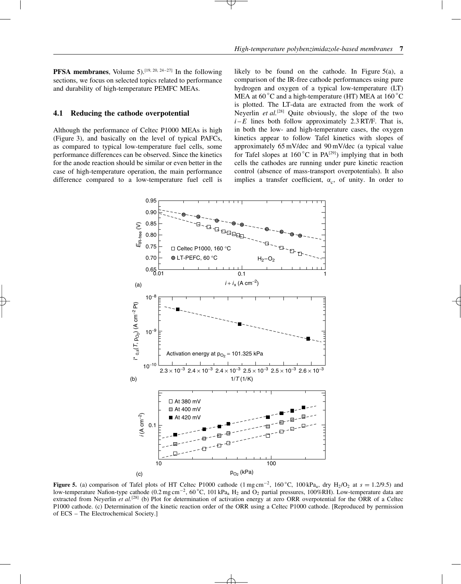**PFSA membranes**, Volume 5).<sup>[19, 20, 24–27] In the following</sup> sections, we focus on selected topics related to performance and durability of high-temperature PEMFC MEAs.

## **4.1 Reducing the cathode overpotential**

Although the performance of Celtec P1000 MEAs is high (Figure 3), and basically on the level of typical PAFCs, as compared to typical low-temperature fuel cells, some performance differences can be observed. Since the kinetics for the anode reaction should be similar or even better in the case of high-temperature operation, the main performance difference compared to a low-temperature fuel cell is likely to be found on the cathode. In Figure  $5(a)$ , a comparison of the IR-free cathode performances using pure hydrogen and oxygen of a typical low-temperature (LT) MEA at  $60\degree$ C and a high-temperature (HT) MEA at  $160\degree$ C is plotted. The LT-data are extracted from the work of Neverlin *et al.*<sup>[28]</sup> Quite obviously, the slope of the two  $i$ –*E* lines both follow approximately 2.3 RT/F. That is, in both the low- and high-temperature cases, the oxygen kinetics appear to follow Tafel kinetics with slopes of approximately 65 mV/dec and 90 mV/dec (a typical value for Tafel slopes at  $160^{\circ}$ C in PA<sup>[29]</sup>) implying that in both cells the cathodes are running under pure kinetic reaction control (absence of mass-transport overpotentials). It also implies a transfer coefficient,  $\alpha_c$ , of unity. In order to



**Figure 5.** (a) comparison of Tafel plots of HT Celtec P1000 cathode (1 mg cm<sup>-2</sup>, 160 °C, 100 kPa<sub>a</sub>, dry H<sub>2</sub>/O<sub>2</sub> at  $s = 1.2/9.5$ ) and low-temperature Nafion-type cathode (0.2 mg cm<sup>-2</sup>, 60 °C, 101 kPa<sub>a</sub> H<sub>2</sub> and O<sub>2</sub> partial pressures, 100%RH). Low-temperature data are extracted from Neyerlin *et al.*<sup>[28]</sup> (b) Plot for determination of activation energy at zero ORR overpotential for the ORR of a Celtec P1000 cathode. (c) Determination of the kinetic reaction order of the ORR using a Celtec P1000 cathode. [Reproduced by permission of ECS – The Electrochemical Society.]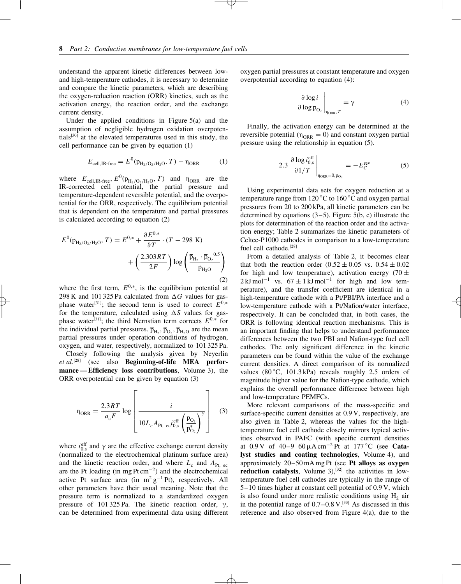understand the apparent kinetic differences between lowand high-temperature cathodes, it is necessary to determine and compare the kinetic parameters, which are describing the oxygen-reduction reaction (ORR) kinetics, such as the activation energy, the reaction order, and the exchange current density.

Under the applied conditions in Figure 5(a) and the assumption of negligible hydrogen oxidation overpotentials $[30]$  at the elevated temperatures used in this study, the cell performance can be given by equation (1)

$$
E_{\text{cell,IR-free}} = E^{0} (p_{\text{H}_2/\text{O}_2/\text{H}_2\text{O}}, T) - \eta_{\text{ORR}} \tag{1}
$$

where  $E_{\text{cell,IR-free}}$ ,  $E^0(p_{\text{H}_2/O_2/\text{H}_2O}, T)$  and  $\eta_{\text{ORR}}$  are the IR-corrected cell potential, the partial pressure and temperature-dependent reversible potential, and the overpotential for the ORR, respectively. The equilibrium potential that is dependent on the temperature and partial pressures is calculated according to equation (2)

$$
E^{0}(p_{H_{2}/O_{2}/H_{2}O}, T) = E^{0,*} + \frac{\partial E^{0,*}}{\partial T} \cdot (T - 298 \text{ K}) + \left(\frac{2.303RT}{2F}\right) \log \left(\frac{\bar{p}_{H_{2}} \cdot \bar{p}_{O_{2}}^{0.5}}{\bar{p}_{H_{2}O}}\right)
$$
\n(2)

where the first term,  $E^{0,*}$ , is the equilibrium potential at 298 K and 101 325 Pa calculated from  $\Delta G$  values for gasphase water<sup>[31]</sup>; the second term is used to correct  $E^{0,*}$ for the temperature, calculated using  $\Delta S$  values for gasphase water<sup>[31]</sup>; the third Nernstian term corrects  $E^{0,*}$  for the individual partial pressures.  $\overline{p}_{H_2}, \overline{p}_{O_2}, \overline{p}_{H_2O}$  are the mean partial pressures under operation conditions of hydrogen, oxygen, and water, respectively, normalized to 101 325 Pa. Closely following the analysis given by Neyerlin *et al.*[28] (see also **Beginning-of-life MEA performance — Efficiency loss contributions**, Volume 3), the ORR overpotential can be given by equation (3)

$$
\eta_{\text{ORR}} = \frac{2.3RT}{a_c F} \log \left[ \frac{i}{10L_c A_{\text{Pt, ec}} i_{0,s}^{\text{eff}} \left( \frac{p_{\text{O}_2}}{p_{\text{O}_2}} \right)^{\gamma}} \right]
$$
(3)

where  $i_{0,s}^{\text{eff}}$  and  $\gamma$  are the effective exchange current density (normalized to the electrochemical platinum surface area) and the kinetic reaction order, and where  $L_c$  and  $A_{\text{Pt-ec}}$ are the Pt loading (in mg  $P$ t cm<sup>-2</sup>) and the electrochemical active Pt surface area (in  $m^2 g^{-1} Pt$ ), respectively. All other parameters have their usual meaning. Note that the pressure term is normalized to a standardized oxygen pressure of 101 325 Pa. The kinetic reaction order, γ, can be determined from experimental data using different oxygen partial pressures at constant temperature and oxygen overpotential according to equation (4):

$$
\left. \frac{\partial \log i}{\partial \log p_{\text{O}_2}} \right|_{\eta_{\text{ORR}}, T} = \gamma \tag{4}
$$

Finally, the activation energy can be determined at the reversible potential ( $\eta_{ORR} = 0$ ) and constant oxygen partial pressure using the relationship in equation (5).

$$
2.3 \left. \frac{\partial \log i_{0,\text{s}}^{\text{eff}}}{\partial 1/T} \right|_{\eta_{\text{ORR}} = 0, \text{p}_{\text{O}_2}} = -E_C^{\text{rev}} \tag{5}
$$

Using experimental data sets for oxygen reduction at a temperature range from 120 $\degree$ C to 160 $\degree$ C and oxygen partial pressures from 20 to 200 kPa, all kinetic parameters can be determined by equations  $(3-5)$ . Figure 5(b, c) illustrate the plots for determination of the reaction order and the activation energy; Table 2 summarizes the kinetic parameters of Celtec-P1000 cathodes in comparison to a low-temperature fuel cell cathode.<sup>[28]</sup>

From a detailed analysis of Table 2, it becomes clear that both the reaction order  $(0.52 \pm 0.05 \text{ vs. } 0.54 \pm 0.02)$ for high and low temperature), activation energy (70  $\pm$  $2 \text{ kJ} \text{ mol}^{-1}$  vs.  $67 \pm 1 \text{ kJ} \text{ mol}^{-1}$  for high and low temperature), and the transfer coefficient are identical in a high-temperature cathode with a Pt/PBI/PA interface and a low-temperature cathode with a Pt/Nafion/water interface, respectively. It can be concluded that, in both cases, the ORR is following identical reaction mechanisms. This is an important finding that helps to understand performance differences between the two PBI and Nafion-type fuel cell cathodes. The only significant difference in the kinetic parameters can be found within the value of the exchange current densities. A direct comparison of its normalized values  $(80 °C, 101.3 kPa)$  reveals roughly 2.5 orders of magnitude higher value for the Nafion-type cathode, which explains the overall performance difference between high and low-temperature PEMFCs.

More relevant comparisons of the mass-specific and surface-specific current densities at 0.9 V, respectively, are also given in Table 2, whereas the values for the hightemperature fuel cell cathode closely mirrors typical activities observed in PAFC (with specific current densities at  $0.9 \text{ V}$  of  $40-9.60 \mu \text{A cm}^{-2}$  Pt at  $177 \text{ }^{\circ}\text{C}$  (see **Catalyst studies and coating technologies**, Volume 4), and approximately 20–50 mA mg Pt (see **Pt alloys as oxygen reduction catalysts.** Volume 3),<sup>[32]</sup> the activities in lowtemperature fuel cell cathodes are typically in the range of 5–10 times higher at constant cell potential of 0.9 V, which is also found under more realistic conditions using  $H<sub>2</sub>$  air in the potential range of  $0.7-0.8$  V.<sup>[33]</sup> As discussed in this reference and also observed from Figure 4(a), due to the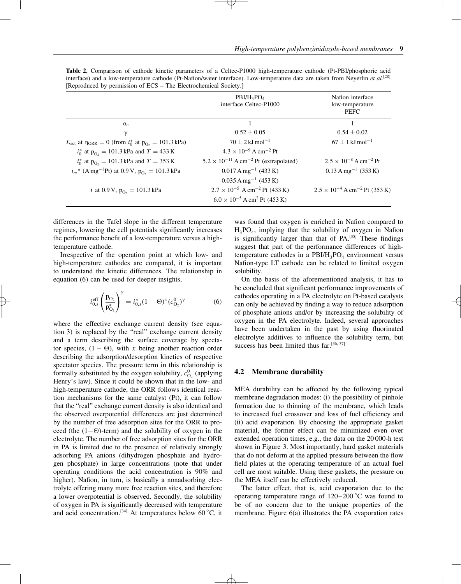|                                                                  |  |  | Table 2. Comparison of cathode kinetic parameters of a Celtec-P1000 high-temperature cathode (Pt-PBI/phosphoric acid                      |  |  |
|------------------------------------------------------------------|--|--|-------------------------------------------------------------------------------------------------------------------------------------------|--|--|
|                                                                  |  |  | interface) and a low-temperature cathode (Pt-Nafion/water interface). Low-temperature data are taken from Neyerlin et al. <sup>[28]</sup> |  |  |
| [Reproduced by permission of ECS – The Electrochemical Society.] |  |  |                                                                                                                                           |  |  |

|                                                                                                     | $PBI/H_3PO_4$<br>interface Celtec-P1000                    | Nafion interface<br>low-temperature<br><b>PEFC</b> |
|-----------------------------------------------------------------------------------------------------|------------------------------------------------------------|----------------------------------------------------|
| $\alpha_c$                                                                                          |                                                            |                                                    |
| γ                                                                                                   | $0.52 \pm 0.05$                                            | $0.54 \pm 0.02$                                    |
| $E_{\text{act}}$ at $\eta_{\text{ORR}} = 0$ (from $i_0^*$ at $p_{\text{O}_2} = 101.3 \text{ kPa}$ ) | $70 \pm 2$ kJ mol <sup>-1</sup>                            | $67 \pm 1$ kJ mol <sup>-1</sup>                    |
| $i_0^*$ at $p_{O_2} = 101.3$ kPa and $T = 433$ K                                                    | $4.3 \times 10^{-9}$ A cm <sup>-2</sup> Pt                 |                                                    |
| $i_0^*$ at $p_{O_2} = 101.3$ kPa and $T = 353$ K                                                    | $5.2 \times 10^{-11}$ A cm <sup>-2</sup> Pt (extrapolated) | $2.5 \times 10^{-8}$ A cm <sup>-2</sup> Pt         |
| $i_m$ <sup>*</sup> (A mg <sup>-1</sup> Pt) at 0.9 V, p <sub>O2</sub> = 101.3 kPa                    | $0.017 \text{ A mg}^{-1}$ (433 K)                          | $0.13 \text{ A mg}^{-1}$ (353 K)                   |
|                                                                                                     | $0.035$ A mg <sup>-1</sup> (453 K)                         |                                                    |
| <i>i</i> at 0.9 V, $p_{O_2} = 101.3$ kPa                                                            | $2.7 \times 10^{-5}$ A cm <sup>-2</sup> Pt (433 K)         | $2.5 \times 10^{-4}$ A cm <sup>-2</sup> Pt (353 K) |
|                                                                                                     | $6.0 \times 10^{-5}$ A cm <sup>2</sup> Pt (453 K)          |                                                    |

differences in the Tafel slope in the different temperature regimes, lowering the cell potentials significantly increases the performance benefit of a low-temperature versus a hightemperature cathode.

Irrespective of the operation point at which low- and high-temperature cathodes are compared, it is important to understand the kinetic differences. The relationship in equation (6) can be used for deeper insights,

$$
i_{0,s}^{\text{eff}} \left(\frac{p_{O_2}}{p_{O_2}^*}\right)^{\gamma} = i_{0,s}^*(1 - \Theta)^{x} (c_{O_2}^0)^{\gamma}
$$
 (6)

where the effective exchange current density (see equation 3) is replaced by the "real" exchange current density and a term describing the surface coverage by spectator species,  $(1 - \Theta)$ , with *x* being another reaction order describing the adsorption/desorption kinetics of respective spectator species. The pressure term in this relationship is formally substituted by the oxygen solubility,  $c_{\text{O}_2}^0$  (applying Henry's law). Since it could be shown that in the low- and high-temperature cathode, the ORR follows identical reaction mechanisms for the same catalyst (Pt), it can follow that the "real" exchange current density is also identical and the observed overpotential differences are just determined by the number of free adsorption sites for the ORR to proceed (the  $(1-\Theta)$ -term) and the solubility of oxygen in the electrolyte. The number of free adsorption sites for the ORR in PA is limited due to the presence of relatively strongly adsorbing PA anions (dihydrogen phosphate and hydrogen phosphate) in large concentrations (note that under operating conditions the acid concentration is 90% and higher). Nafion, in turn, is basically a nonadsorbing electrolyte offering many more free reaction sites, and therefore a lower overpotential is observed. Secondly, the solubility of oxygen in PA is significantly decreased with temperature and acid concentration.<sup>[34]</sup> At temperatures below 60 $^{\circ}$ C, it

was found that oxygen is enriched in Nafion compared to  $H_3PO_4$ , implying that the solubility of oxygen in Nafion is significantly larger than that of PA.<sup>[35]</sup> These findings suggest that part of the performance differences of hightemperature cathodes in a  $PBI/H_3PO_4$  environment versus Nafion-type LT cathode can be related to limited oxygen solubility.

On the basis of the aforementioned analysis, it has to be concluded that significant performance improvements of cathodes operating in a PA electrolyte on Pt-based catalysts can only be achieved by finding a way to reduce adsorption of phosphate anions and/or by increasing the solubility of oxygen in the PA electrolyte. Indeed, several approaches have been undertaken in the past by using fluorinated electrolyte additives to influence the solubility term, but success has been limited thus far.<sup>[36, 37]</sup>

## **4.2 Membrane durability**

MEA durability can be affected by the following typical membrane degradation modes: (i) the possibility of pinhole formation due to thinning of the membrane, which leads to increased fuel crossover and loss of fuel efficiency and (ii) acid evaporation. By choosing the appropriate gasket material, the former effect can be minimized even over extended operation times, e.g., the data on the 20 000-h test shown in Figure 3. Most importantly, hard gasket materials that do not deform at the applied pressure between the flow field plates at the operating temperature of an actual fuel cell are most suitable. Using these gaskets, the pressure on the MEA itself can be effectively reduced.

The latter effect, that is, acid evaporation due to the operating temperature range of  $120-200\degree C$  was found to be of no concern due to the unique properties of the membrane. Figure 6(a) illustrates the PA evaporation rates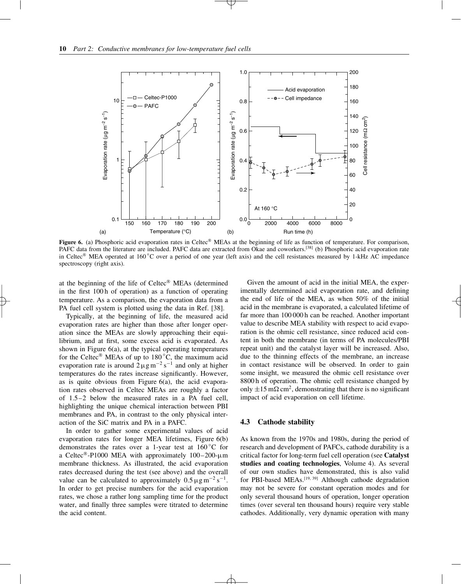

Figure 6. (a) Phosphoric acid evaporation rates in Celtec<sup>®</sup> MEAs at the beginning of life as function of temperature. For comparison, PAFC data from the literature are included. PAFC data are extracted from Okae and coworkers.<sup>[38]</sup> (b) Phosphoric acid evaporation rate in Celtec<sup>®</sup> MEA operated at 160 $\degree$ C over a period of one year (left axis) and the cell resistances measured by 1-kHz AC impedance spectroscopy (right axis).

at the beginning of the life of Celtec $<sup>®</sup>$  MEAs (determined</sup> in the first 100 h of operation) as a function of operating temperature. As a comparison, the evaporation data from a PA fuel cell system is plotted using the data in Ref. [38].

Typically, at the beginning of life, the measured acid evaporation rates are higher than those after longer operation since the MEAs are slowly approaching their equilibrium, and at first, some excess acid is evaporated. As shown in Figure 6(a), at the typical operating temperatures for the Celtec<sup>®</sup> MEAs of up to 180 $^{\circ}$ C, the maximum acid evaporation rate is around  $2 \mu g m^{-2} s^{-1}$  and only at higher temperatures do the rates increase significantly. However, as is quite obvious from Figure 6(a), the acid evaporation rates observed in Celtec MEAs are roughly a factor of 1.5–2 below the measured rates in a PA fuel cell, highlighting the unique chemical interaction between PBI membranes and PA, in contrast to the only physical interaction of the SiC matrix and PA in a PAFC.

In order to gather some experimental values of acid evaporation rates for longer MEA lifetimes, Figure 6(b) demonstrates the rates over a 1-year test at  $160^{\circ}$ C for a Celtec<sup>®</sup>-P1000 MEA with approximately  $100-200$ - $\mu$ m membrane thickness. As illustrated, the acid evaporation rates decreased during the test (see above) and the overall value can be calculated to approximately  $0.5 \mu g m^{-2} s^{-1}$ . In order to get precise numbers for the acid evaporation rates, we chose a rather long sampling time for the product water, and finally three samples were titrated to determine the acid content.

Given the amount of acid in the initial MEA, the experimentally determined acid evaporation rate, and defining the end of life of the MEA, as when 50% of the initial acid in the membrane is evaporated, a calculated lifetime of far more than 100 000 h can be reached. Another important value to describe MEA stability with respect to acid evaporation is the ohmic cell resistance, since reduced acid content in both the membrane (in terms of PA molecules/PBI repeat unit) and the catalyst layer will be increased. Also, due to the thinning effects of the membrane, an increase in contact resistance will be observed. In order to gain some insight, we measured the ohmic cell resistance over 8800 h of operation. The ohmic cell resistance changed by only  $\pm 15$  m $\Omega$  cm<sup>2</sup>, demonstrating that there is no significant impact of acid evaporation on cell lifetime.

### **4.3 Cathode stability**

As known from the 1970s and 1980s, during the period of research and development of PAFCs, cathode durability is a critical factor for long-term fuel cell operation (see **Catalyst studies and coating technologies**, Volume 4). As several of our own studies have demonstrated, this is also valid for PBI-based MEAs.[19, 39] Although cathode degradation may not be severe for constant operation modes and for only several thousand hours of operation, longer operation times (over several ten thousand hours) require very stable cathodes. Additionally, very dynamic operation with many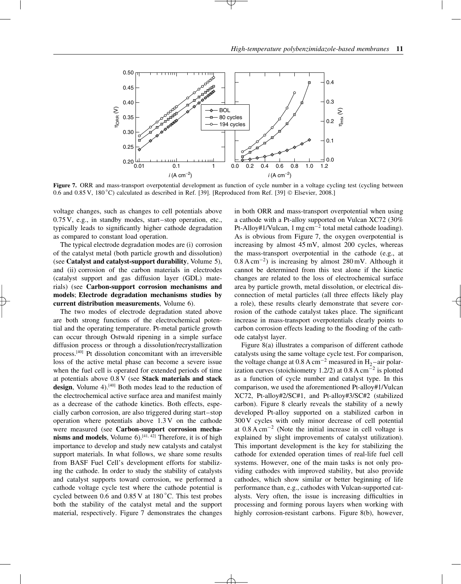

Figure 7. ORR and mass-transport overpotential development as function of cycle number in a voltage cycling test (cycling between 0.6 and 0.85 V, 180 ℃) calculated as described in Ref. [39]. [Reproduced from Ref. [39] © Elsevier, 2008.]

voltage changes, such as changes to cell potentials above 0.75 V, e.g., in standby modes, start–stop operation, etc., typically leads to significantly higher cathode degradation as compared to constant load operation.

The typical electrode degradation modes are (i) corrosion of the catalyst metal (both particle growth and dissolution) (see **Catalyst and catalyst-support durability**, Volume 5), and (ii) corrosion of the carbon materials in electrodes (catalyst support and gas diffusion layer (GDL) materials) (see **Carbon-support corrosion mechanisms and models**; **Electrode degradation mechanisms studies by current distribution measurements**, Volume 6).

The two modes of electrode degradation stated above are both strong functions of the electrochemical potential and the operating temperature. Pt-metal particle growth can occur through Ostwald ripening in a simple surface diffusion process or through a dissolution/recrystallization process.[40] Pt dissolution concomitant with an irreversible loss of the active metal phase can become a severe issue when the fuel cell is operated for extended periods of time at potentials above 0.8 V (see **Stack materials and stack** design, Volume 4).<sup>[40]</sup> Both modes lead to the reduction of the electrochemical active surface area and manifest mainly as a decrease of the cathode kinetics. Both effects, especially carbon corrosion, are also triggered during start–stop operation where potentials above 1.3 V on the cathode were measured (see **Carbon-support corrosion mechanisms and models**, Volume  $6$ ).<sup>[41, 42]</sup> Therefore, it is of high importance to develop and study new catalysts and catalyst support materials. In what follows, we share some results from BASF Fuel Cell's development efforts for stabilizing the cathode. In order to study the stability of catalysts and catalyst supports toward corrosion, we performed a cathode voltage cycle test where the cathode potential is cycled between  $0.6$  and  $0.85$  V at  $180^{\circ}$ C. This test probes both the stability of the catalyst metal and the support material, respectively. Figure 7 demonstrates the changes in both ORR and mass-transport overpotential when using a cathode with a Pt-alloy supported on Vulcan XC72 (30% Pt-Alloy#1/Vulcan, 1 mg cm−<sup>2</sup> total metal cathode loading). As is obvious from Figure 7, the oxygen overpotential is increasing by almost 45 mV, almost 200 cycles, whereas the mass-transport overpotential in the cathode (e.g., at 0.8 A cm−2) is increasing by almost 280 mV. Although it cannot be determined from this test alone if the kinetic changes are related to the loss of electrochemical surface area by particle growth, metal dissolution, or electrical disconnection of metal particles (all three effects likely play a role), these results clearly demonstrate that severe corrosion of the cathode catalyst takes place. The significant increase in mass-transport overpotentials clearly points to carbon corrosion effects leading to the flooding of the cathode catalyst layer.

Figure 8(a) illustrates a comparison of different cathode catalysts using the same voltage cycle test. For comparison, the voltage change at  $0.8 \text{ A cm}^{-2}$  measured in H<sub>2</sub> –air polarization curves (stoichiometry 1.2/2) at  $0.8 \text{ A cm}^{-2}$  is plotted as a function of cycle number and catalyst type. In this comparison, we used the aforementioned Pt-alloy#1/Vulcan XC72, Pt-alloy#2/SC#1, and Pt-alloy#3/SC#2 (stabilized carbon). Figure 8 clearly reveals the stability of a newly developed Pt-alloy supported on a stabilized carbon in 300 V cycles with only minor decrease of cell potential at 0.8 A cm−<sup>2</sup> (Note the initial increase in cell voltage is explained by slight improvements of catalyst utilization). This important development is the key for stabilizing the cathode for extended operation times of real-life fuel cell systems. However, one of the main tasks is not only providing cathodes with improved stability, but also provide cathodes, which show similar or better beginning of life performance than, e.g., cathodes with Vulcan-supported catalysts. Very often, the issue is increasing difficulties in processing and forming porous layers when working with highly corrosion-resistant carbons. Figure 8(b), however,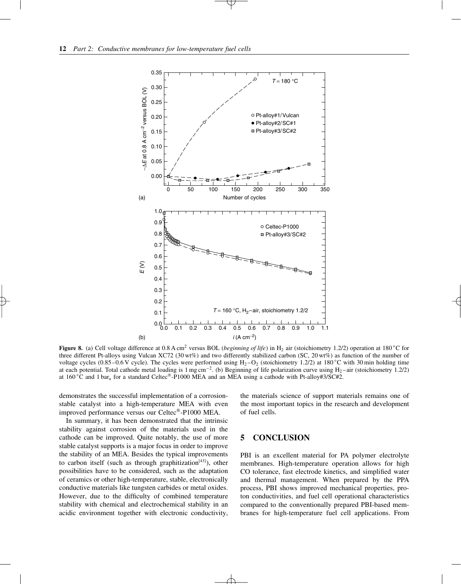

**Figure 8.** (a) Cell voltage difference at 0.8 A cm<sup>2</sup> versus BOL (*beginning of life*) in  $H_2$  air (stoichiometry 1.2/2) operation at 180 °C for three different Pt-alloys using Vulcan XC72 (30 wt%) and two differently stabilized carbon (SC, 20 wt%) as function of the number of voltage cycles (0.85–0.6 V cycle). The cycles were performed using  $H_2-O_2$  (stoichiometry 1.2/2) at 180 °C with 30 min holding time at each potential. Total cathode metal loading is 1 mg cm<sup>-2</sup>. (b) Beginning of life polarization curve using H<sub>2</sub>-air (stoichiometry 1.2/2) at 160  $\degree$ C and 1 bar<sub>a</sub> for a standard Celtec<sup>®</sup>-P1000 MEA and an MEA using a cathode with Pt-alloy#3/SC#2.

demonstrates the successful implementation of a corrosionstable catalyst into a high-temperature MEA with even improved performance versus our Celtec $^{\circledR}$ -P1000 MEA.

In summary, it has been demonstrated that the intrinsic stability against corrosion of the materials used in the cathode can be improved. Quite notably, the use of more stable catalyst supports is a major focus in order to improve the stability of an MEA. Besides the typical improvements to carbon itself (such as through graphitization<sup>[43]</sup>), other possibilities have to be considered, such as the adaptation of ceramics or other high-temperature, stable, electronically conductive materials like tungsten carbides or metal oxides. However, due to the difficulty of combined temperature stability with chemical and electrochemical stability in an acidic environment together with electronic conductivity,

the materials science of support materials remains one of the most important topics in the research and development of fuel cells.

# **5 CONCLUSION**

PBI is an excellent material for PA polymer electrolyte membranes. High-temperature operation allows for high CO tolerance, fast electrode kinetics, and simplified water and thermal management. When prepared by the PPA process, PBI shows improved mechanical properties, proton conductivities, and fuel cell operational characteristics compared to the conventionally prepared PBI-based membranes for high-temperature fuel cell applications. From